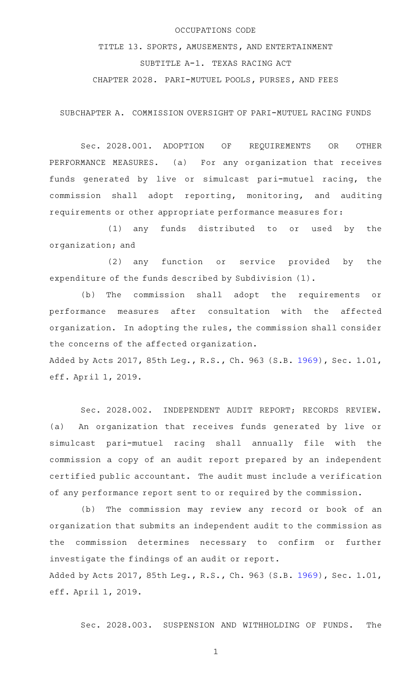#### OCCUPATIONS CODE

TITLE 13. SPORTS, AMUSEMENTS, AND ENTERTAINMENT SUBTITLE A-1. TEXAS RACING ACT CHAPTER 2028. PARI-MUTUEL POOLS, PURSES, AND FEES

SUBCHAPTER A. COMMISSION OVERSIGHT OF PARI-MUTUEL RACING FUNDS

Sec. 2028.001. ADOPTION OF REQUIREMENTS OR OTHER PERFORMANCE MEASURES. (a) For any organization that receives funds generated by live or simulcast pari-mutuel racing, the commission shall adopt reporting, monitoring, and auditing requirements or other appropriate performance measures for:

(1) any funds distributed to or used by the organization; and

(2) any function or service provided by the expenditure of the funds described by Subdivision (1).

(b) The commission shall adopt the requirements or performance measures after consultation with the affected organization. In adopting the rules, the commission shall consider the concerns of the affected organization.

Added by Acts 2017, 85th Leg., R.S., Ch. 963 (S.B. [1969](http://www.legis.state.tx.us/tlodocs/85R/billtext/html/SB01969F.HTM)), Sec. 1.01, eff. April 1, 2019.

Sec. 2028.002. INDEPENDENT AUDIT REPORT; RECORDS REVIEW. (a) An organization that receives funds generated by live or simulcast pari-mutuel racing shall annually file with the commission a copy of an audit report prepared by an independent certified public accountant. The audit must include a verification of any performance report sent to or required by the commission.

(b) The commission may review any record or book of an organization that submits an independent audit to the commission as the commission determines necessary to confirm or further investigate the findings of an audit or report. Added by Acts 2017, 85th Leg., R.S., Ch. 963 (S.B. [1969](http://www.legis.state.tx.us/tlodocs/85R/billtext/html/SB01969F.HTM)), Sec. 1.01, eff. April 1, 2019.

Sec. 2028.003. SUSPENSION AND WITHHOLDING OF FUNDS. The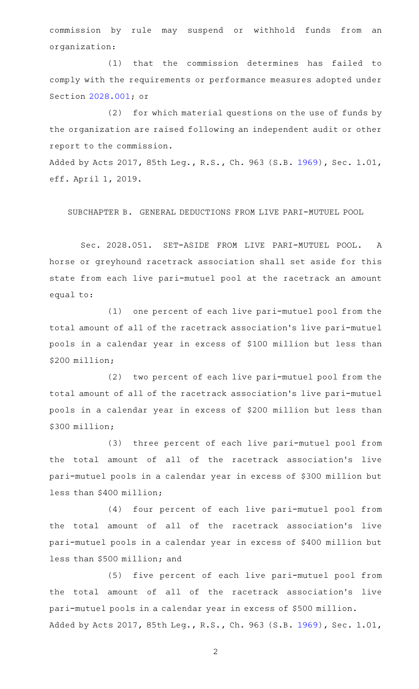commission by rule may suspend or withhold funds from an organization:

(1) that the commission determines has failed to comply with the requirements or performance measures adopted under Section [2028.001](http://www.statutes.legis.state.tx.us/GetStatute.aspx?Code=OC&Value=2028.001); or

(2) for which material questions on the use of funds by the organization are raised following an independent audit or other report to the commission.

Added by Acts 2017, 85th Leg., R.S., Ch. 963 (S.B. [1969](http://www.legis.state.tx.us/tlodocs/85R/billtext/html/SB01969F.HTM)), Sec. 1.01, eff. April 1, 2019.

SUBCHAPTER B. GENERAL DEDUCTIONS FROM LIVE PARI-MUTUEL POOL

Sec. 2028.051. SET-ASIDE FROM LIVE PARI-MUTUEL POOL. A horse or greyhound racetrack association shall set aside for this state from each live pari-mutuel pool at the racetrack an amount equal to:

(1) one percent of each live pari-mutuel pool from the total amount of all of the racetrack association 's live pari-mutuel pools in a calendar year in excess of \$100 million but less than \$200 million;

(2) two percent of each live pari-mutuel pool from the total amount of all of the racetrack association 's live pari-mutuel pools in a calendar year in excess of \$200 million but less than \$300 million;

(3) three percent of each live pari-mutuel pool from the total amount of all of the racetrack association 's live pari-mutuel pools in a calendar year in excess of \$300 million but less than \$400 million;

(4) four percent of each live pari-mutuel pool from the total amount of all of the racetrack association 's live pari-mutuel pools in a calendar year in excess of \$400 million but less than \$500 million; and

(5) five percent of each live pari-mutuel pool from the total amount of all of the racetrack association 's live pari-mutuel pools in a calendar year in excess of \$500 million. Added by Acts 2017, 85th Leg., R.S., Ch. 963 (S.B. [1969](http://www.legis.state.tx.us/tlodocs/85R/billtext/html/SB01969F.HTM)), Sec. 1.01,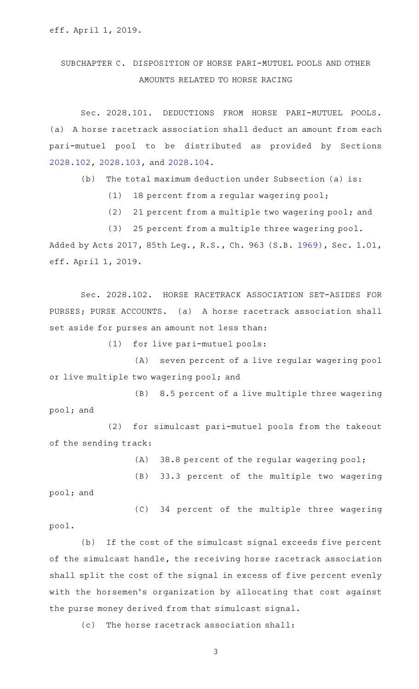# SUBCHAPTER C. DISPOSITION OF HORSE PARI-MUTUEL POOLS AND OTHER AMOUNTS RELATED TO HORSE RACING

Sec. 2028.101. DEDUCTIONS FROM HORSE PARI-MUTUEL POOLS. (a) A horse racetrack association shall deduct an amount from each pari-mutuel pool to be distributed as provided by Sections [2028.102](http://www.statutes.legis.state.tx.us/GetStatute.aspx?Code=OC&Value=2028.102), [2028.103](http://www.statutes.legis.state.tx.us/GetStatute.aspx?Code=OC&Value=2028.103), and [2028.104.](http://www.statutes.legis.state.tx.us/GetStatute.aspx?Code=OC&Value=2028.104)

 $(b)$  The total maximum deduction under Subsection (a) is:

 $(1)$  18 percent from a regular wagering pool;

(2) 21 percent from a multiple two wagering pool; and

(3) 25 percent from a multiple three wagering pool.

Added by Acts 2017, 85th Leg., R.S., Ch. 963 (S.B. [1969](http://www.legis.state.tx.us/tlodocs/85R/billtext/html/SB01969F.HTM)), Sec. 1.01, eff. April 1, 2019.

Sec. 2028.102. HORSE RACETRACK ASSOCIATION SET-ASIDES FOR PURSES; PURSE ACCOUNTS. (a) A horse racetrack association shall set aside for purses an amount not less than:

 $(1)$  for live pari-mutuel pools:

(A) seven percent of a live regular wagering pool or live multiple two wagering pool; and

(B) 8.5 percent of a live multiple three wagering pool; and

(2) for simulcast pari-mutuel pools from the takeout of the sending track:

 $(A)$  38.8 percent of the regular wagering pool;

(B) 33.3 percent of the multiple two wagering

pool; and

(C) 34 percent of the multiple three wagering

pool.

(b) If the cost of the simulcast signal exceeds five percent of the simulcast handle, the receiving horse racetrack association shall split the cost of the signal in excess of five percent evenly with the horsemen's organization by allocating that cost against the purse money derived from that simulcast signal.

(c) The horse racetrack association shall: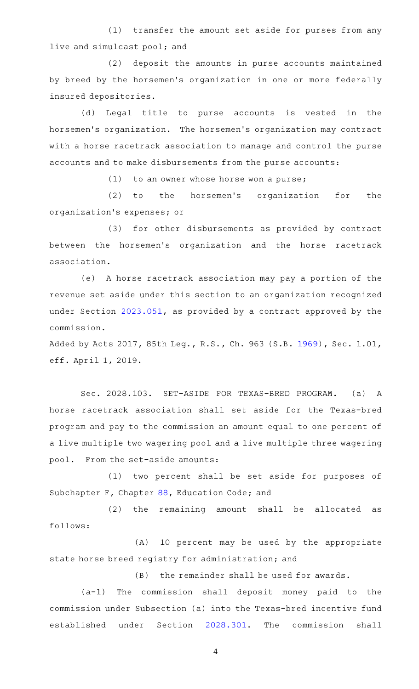(1) transfer the amount set aside for purses from any live and simulcast pool; and

(2) deposit the amounts in purse accounts maintained by breed by the horsemen's organization in one or more federally insured depositories.

(d) Legal title to purse accounts is vested in the horsemen 's organization. The horsemen 's organization may contract with a horse racetrack association to manage and control the purse accounts and to make disbursements from the purse accounts:

 $(1)$  to an owner whose horse won a purse;

(2) to the horsemen's organization for the organization 's expenses; or

(3) for other disbursements as provided by contract between the horsemen's organization and the horse racetrack association.

(e) A horse racetrack association may pay a portion of the revenue set aside under this section to an organization recognized under Section [2023.051](http://www.statutes.legis.state.tx.us/GetStatute.aspx?Code=OC&Value=2023.051), as provided by a contract approved by the commission.

Added by Acts 2017, 85th Leg., R.S., Ch. 963 (S.B. [1969](http://www.legis.state.tx.us/tlodocs/85R/billtext/html/SB01969F.HTM)), Sec. 1.01, eff. April 1, 2019.

Sec. 2028.103. SET-ASIDE FOR TEXAS-BRED PROGRAM. (a) A horse racetrack association shall set aside for the Texas-bred program and pay to the commission an amount equal to one percent of a live multiple two wagering pool and a live multiple three wagering pool. From the set-aside amounts:

(1) two percent shall be set aside for purposes of Subchapter F, Chapter [88,](http://www.statutes.legis.state.tx.us/GetStatute.aspx?Code=ED&Value=88) Education Code; and

(2) the remaining amount shall be allocated as follows:

(A) 10 percent may be used by the appropriate state horse breed registry for administration; and

(B) the remainder shall be used for awards.

 $(a-1)$  The commission shall deposit money paid to the commission under Subsection (a) into the Texas-bred incentive fund established under Section [2028.301](http://www.statutes.legis.state.tx.us/GetStatute.aspx?Code=OC&Value=2028.301). The commission shall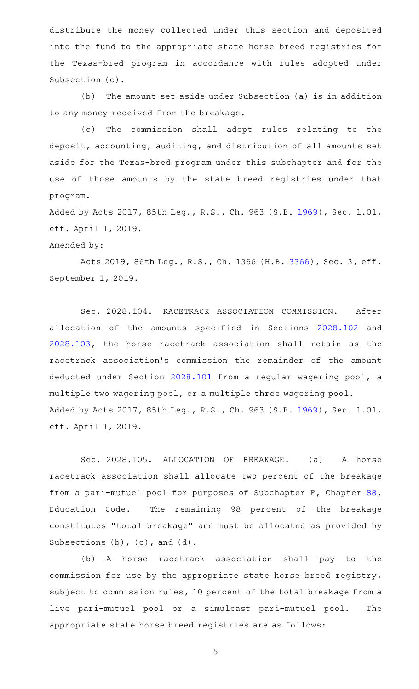distribute the money collected under this section and deposited into the fund to the appropriate state horse breed registries for the Texas-bred program in accordance with rules adopted under Subsection (c).

(b) The amount set aside under Subsection (a) is in addition to any money received from the breakage.

(c) The commission shall adopt rules relating to the deposit, accounting, auditing, and distribution of all amounts set aside for the Texas-bred program under this subchapter and for the use of those amounts by the state breed registries under that program.

Added by Acts 2017, 85th Leg., R.S., Ch. 963 (S.B. [1969](http://www.legis.state.tx.us/tlodocs/85R/billtext/html/SB01969F.HTM)), Sec. 1.01, eff. April 1, 2019.

#### Amended by:

Acts 2019, 86th Leg., R.S., Ch. 1366 (H.B. [3366](http://www.legis.state.tx.us/tlodocs/86R/billtext/html/HB03366F.HTM)), Sec. 3, eff. September 1, 2019.

Sec. 2028.104. RACETRACK ASSOCIATION COMMISSION. After allocation of the amounts specified in Sections [2028.102](http://www.statutes.legis.state.tx.us/GetStatute.aspx?Code=OC&Value=2028.102) and [2028.103](http://www.statutes.legis.state.tx.us/GetStatute.aspx?Code=OC&Value=2028.103), the horse racetrack association shall retain as the racetrack association's commission the remainder of the amount deducted under Section [2028.101](http://www.statutes.legis.state.tx.us/GetStatute.aspx?Code=OC&Value=2028.101) from a regular wagering pool, a multiple two wagering pool, or a multiple three wagering pool. Added by Acts 2017, 85th Leg., R.S., Ch. 963 (S.B. [1969](http://www.legis.state.tx.us/tlodocs/85R/billtext/html/SB01969F.HTM)), Sec. 1.01, eff. April 1, 2019.

Sec. 2028.105. ALLOCATION OF BREAKAGE. (a) A horse racetrack association shall allocate two percent of the breakage from a pari-mutuel pool for purposes of Subchapter F, Chapter [88](http://www.statutes.legis.state.tx.us/GetStatute.aspx?Code=ED&Value=88), Education Code. The remaining 98 percent of the breakage constitutes "total breakage" and must be allocated as provided by Subsections (b), (c), and (d).

(b) A horse racetrack association shall pay to the commission for use by the appropriate state horse breed registry, subject to commission rules, 10 percent of the total breakage from a live pari-mutuel pool or a simulcast pari-mutuel pool. The appropriate state horse breed registries are as follows: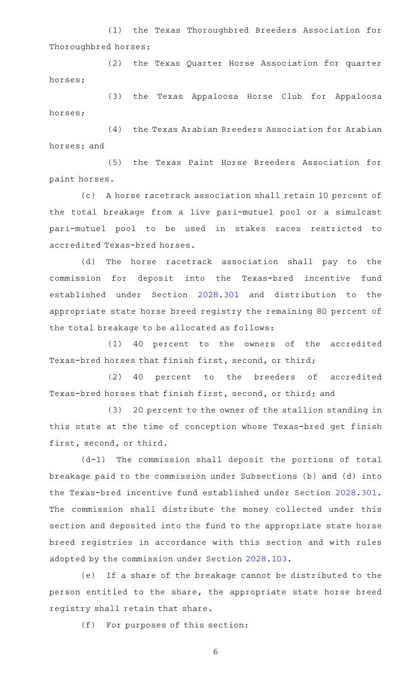(1) the Texas Thoroughbred Breeders Association for Thoroughbred horses;

(2) the Texas Quarter Horse Association for quarter horses;

(3) the Texas Appaloosa Horse Club for Appaloosa horses;

(4) the Texas Arabian Breeders Association for Arabian horses; and

(5) the Texas Paint Horse Breeders Association for paint horses.

(c) A horse racetrack association shall retain 10 percent of the total breakage from a live pari-mutuel pool or a simulcast pari-mutuel pool to be used in stakes races restricted to accredited Texas-bred horses.

(d) The horse racetrack association shall pay to the commission for deposit into the Texas-bred incentive fund established under Section [2028.301](http://www.statutes.legis.state.tx.us/GetStatute.aspx?Code=OC&Value=2028.301) and distribution to the appropriate state horse breed registry the remaining 80 percent of the total breakage to be allocated as follows:

(1) 40 percent to the owners of the accredited Texas-bred horses that finish first, second, or third;

(2) 40 percent to the breeders of accredited Texas-bred horses that finish first, second, or third; and

(3) 20 percent to the owner of the stallion standing in this state at the time of conception whose Texas-bred get finish first, second, or third.

 $(d-1)$  The commission shall deposit the portions of total breakage paid to the commission under Subsections (b) and (d) into the Texas-bred incentive fund established under Section [2028.301](http://www.statutes.legis.state.tx.us/GetStatute.aspx?Code=OC&Value=2028.301). The commission shall distribute the money collected under this section and deposited into the fund to the appropriate state horse breed registries in accordance with this section and with rules adopted by the commission under Section [2028.103](http://www.statutes.legis.state.tx.us/GetStatute.aspx?Code=OC&Value=2028.103).

(e) If a share of the breakage cannot be distributed to the person entitled to the share, the appropriate state horse breed registry shall retain that share.

(f) For purposes of this section: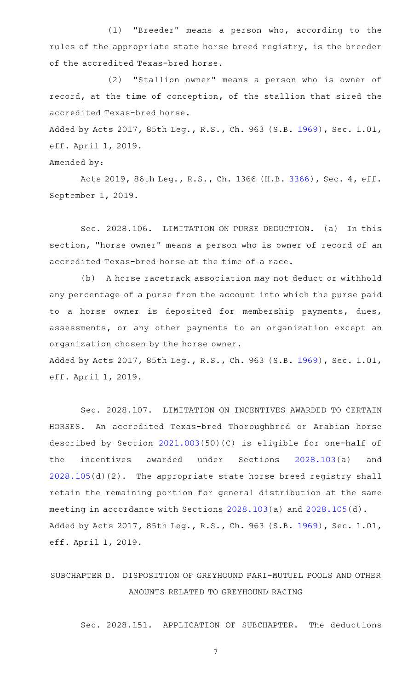(1) "Breeder" means a person who, according to the rules of the appropriate state horse breed registry, is the breeder of the accredited Texas-bred horse.

(2) "Stallion owner" means a person who is owner of record, at the time of conception, of the stallion that sired the accredited Texas-bred horse.

Added by Acts 2017, 85th Leg., R.S., Ch. 963 (S.B. [1969](http://www.legis.state.tx.us/tlodocs/85R/billtext/html/SB01969F.HTM)), Sec. 1.01, eff. April 1, 2019.

Amended by:

Acts 2019, 86th Leg., R.S., Ch. 1366 (H.B. [3366](http://www.legis.state.tx.us/tlodocs/86R/billtext/html/HB03366F.HTM)), Sec. 4, eff. September 1, 2019.

Sec. 2028.106. LIMITATION ON PURSE DEDUCTION. (a) In this section, "horse owner" means a person who is owner of record of an accredited Texas-bred horse at the time of a race.

(b) A horse racetrack association may not deduct or withhold any percentage of a purse from the account into which the purse paid to a horse owner is deposited for membership payments, dues, assessments, or any other payments to an organization except an organization chosen by the horse owner.

Added by Acts 2017, 85th Leg., R.S., Ch. 963 (S.B. [1969](http://www.legis.state.tx.us/tlodocs/85R/billtext/html/SB01969F.HTM)), Sec. 1.01, eff. April 1, 2019.

Sec. 2028.107. LIMITATION ON INCENTIVES AWARDED TO CERTAIN HORSES. An accredited Texas-bred Thoroughbred or Arabian horse described by Section [2021.003\(](http://www.statutes.legis.state.tx.us/GetStatute.aspx?Code=OC&Value=2021.003)50)(C) is eligible for one-half of the incentives awarded under Sections [2028.103\(](http://www.statutes.legis.state.tx.us/GetStatute.aspx?Code=OC&Value=2028.103)a) and [2028.105](http://www.statutes.legis.state.tx.us/GetStatute.aspx?Code=OC&Value=2028.105)(d)(2). The appropriate state horse breed registry shall retain the remaining portion for general distribution at the same meeting in accordance with Sections [2028.103\(](http://www.statutes.legis.state.tx.us/GetStatute.aspx?Code=OC&Value=2028.103)a) and [2028.105](http://www.statutes.legis.state.tx.us/GetStatute.aspx?Code=OC&Value=2028.105)(d). Added by Acts 2017, 85th Leg., R.S., Ch. 963 (S.B. [1969](http://www.legis.state.tx.us/tlodocs/85R/billtext/html/SB01969F.HTM)), Sec. 1.01, eff. April 1, 2019.

# SUBCHAPTER D. DISPOSITION OF GREYHOUND PARI-MUTUEL POOLS AND OTHER AMOUNTS RELATED TO GREYHOUND RACING

Sec. 2028.151. APPLICATION OF SUBCHAPTER. The deductions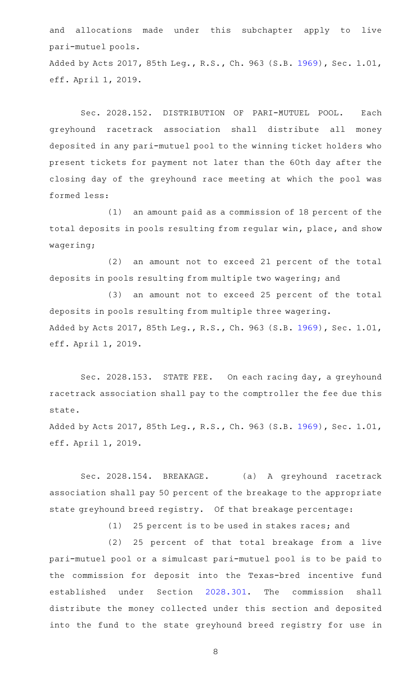and allocations made under this subchapter apply to live pari-mutuel pools. Added by Acts 2017, 85th Leg., R.S., Ch. 963 (S.B. [1969](http://www.legis.state.tx.us/tlodocs/85R/billtext/html/SB01969F.HTM)), Sec. 1.01, eff. April 1, 2019.

Sec. 2028.152. DISTRIBUTION OF PARI-MUTUEL POOL. Each greyhound racetrack association shall distribute all money deposited in any pari-mutuel pool to the winning ticket holders who present tickets for payment not later than the 60th day after the closing day of the greyhound race meeting at which the pool was formed less:

 $(1)$  an amount paid as a commission of 18 percent of the total deposits in pools resulting from regular win, place, and show wagering;

(2) an amount not to exceed 21 percent of the total deposits in pools resulting from multiple two wagering; and

(3) an amount not to exceed 25 percent of the total deposits in pools resulting from multiple three wagering. Added by Acts 2017, 85th Leg., R.S., Ch. 963 (S.B. [1969](http://www.legis.state.tx.us/tlodocs/85R/billtext/html/SB01969F.HTM)), Sec. 1.01, eff. April 1, 2019.

Sec. 2028.153. STATE FEE. On each racing day, a greyhound racetrack association shall pay to the comptroller the fee due this state.

Added by Acts 2017, 85th Leg., R.S., Ch. 963 (S.B. [1969](http://www.legis.state.tx.us/tlodocs/85R/billtext/html/SB01969F.HTM)), Sec. 1.01, eff. April 1, 2019.

Sec. 2028.154. BREAKAGE. (a) A greyhound racetrack association shall pay 50 percent of the breakage to the appropriate state greyhound breed registry. Of that breakage percentage:

(1) 25 percent is to be used in stakes races; and

(2) 25 percent of that total breakage from a live pari-mutuel pool or a simulcast pari-mutuel pool is to be paid to the commission for deposit into the Texas-bred incentive fund established under Section [2028.301](http://www.statutes.legis.state.tx.us/GetStatute.aspx?Code=OC&Value=2028.301). The commission shall distribute the money collected under this section and deposited into the fund to the state greyhound breed registry for use in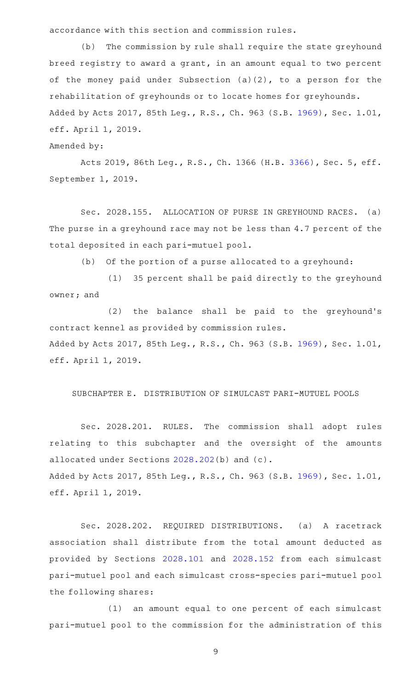accordance with this section and commission rules.

(b) The commission by rule shall require the state greyhound breed registry to award a grant, in an amount equal to two percent of the money paid under Subsection (a)(2), to a person for the rehabilitation of greyhounds or to locate homes for greyhounds. Added by Acts 2017, 85th Leg., R.S., Ch. 963 (S.B. [1969](http://www.legis.state.tx.us/tlodocs/85R/billtext/html/SB01969F.HTM)), Sec. 1.01, eff. April 1, 2019.

Amended by:

Acts 2019, 86th Leg., R.S., Ch. 1366 (H.B. [3366](http://www.legis.state.tx.us/tlodocs/86R/billtext/html/HB03366F.HTM)), Sec. 5, eff. September 1, 2019.

Sec. 2028.155. ALLOCATION OF PURSE IN GREYHOUND RACES. (a) The purse in a greyhound race may not be less than 4.7 percent of the total deposited in each pari-mutuel pool.

(b) Of the portion of a purse allocated to a greyhound:

(1) 35 percent shall be paid directly to the greyhound owner; and

 $(2)$  the balance shall be paid to the greyhound's contract kennel as provided by commission rules. Added by Acts 2017, 85th Leg., R.S., Ch. 963 (S.B. [1969](http://www.legis.state.tx.us/tlodocs/85R/billtext/html/SB01969F.HTM)), Sec. 1.01, eff. April 1, 2019.

SUBCHAPTER E. DISTRIBUTION OF SIMULCAST PARI-MUTUEL POOLS

Sec. 2028.201. RULES. The commission shall adopt rules relating to this subchapter and the oversight of the amounts allocated under Sections [2028.202\(](http://www.statutes.legis.state.tx.us/GetStatute.aspx?Code=OC&Value=2028.202)b) and (c). Added by Acts 2017, 85th Leg., R.S., Ch. 963 (S.B. [1969](http://www.legis.state.tx.us/tlodocs/85R/billtext/html/SB01969F.HTM)), Sec. 1.01, eff. April 1, 2019.

Sec. 2028.202. REQUIRED DISTRIBUTIONS. (a) A racetrack association shall distribute from the total amount deducted as provided by Sections [2028.101](http://www.statutes.legis.state.tx.us/GetStatute.aspx?Code=OC&Value=2028.101) and [2028.152](http://www.statutes.legis.state.tx.us/GetStatute.aspx?Code=OC&Value=2028.152) from each simulcast pari-mutuel pool and each simulcast cross-species pari-mutuel pool the following shares:

(1) an amount equal to one percent of each simulcast pari-mutuel pool to the commission for the administration of this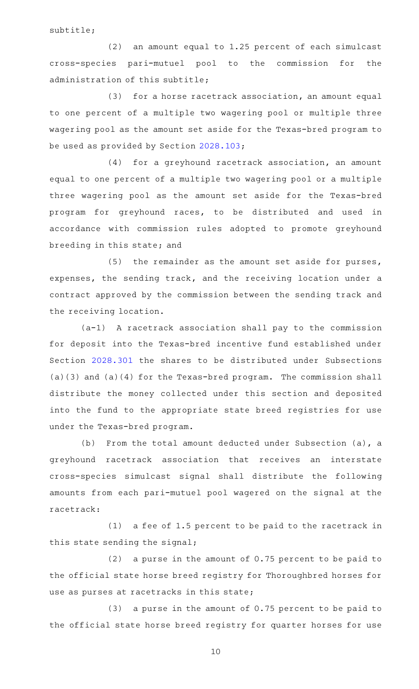subtitle;

(2) an amount equal to 1.25 percent of each simulcast cross-species pari-mutuel pool to the commission for the administration of this subtitle;

 $(3)$  for a horse racetrack association, an amount equal to one percent of a multiple two wagering pool or multiple three wagering pool as the amount set aside for the Texas-bred program to be used as provided by Section [2028.103](http://www.statutes.legis.state.tx.us/GetStatute.aspx?Code=OC&Value=2028.103);

 $(4)$  for a greyhound racetrack association, an amount equal to one percent of a multiple two wagering pool or a multiple three wagering pool as the amount set aside for the Texas-bred program for greyhound races, to be distributed and used in accordance with commission rules adopted to promote greyhound breeding in this state; and

(5) the remainder as the amount set aside for purses, expenses, the sending track, and the receiving location under a contract approved by the commission between the sending track and the receiving location.

(a-1) A racetrack association shall pay to the commission for deposit into the Texas-bred incentive fund established under Section [2028.301](http://www.statutes.legis.state.tx.us/GetStatute.aspx?Code=OC&Value=2028.301) the shares to be distributed under Subsections (a)(3) and (a)(4) for the Texas-bred program. The commission shall distribute the money collected under this section and deposited into the fund to the appropriate state breed registries for use under the Texas-bred program.

(b) From the total amount deducted under Subsection (a), a greyhound racetrack association that receives an interstate cross-species simulcast signal shall distribute the following amounts from each pari-mutuel pool wagered on the signal at the racetrack:

 $(1)$  a fee of 1.5 percent to be paid to the racetrack in this state sending the signal;

 $(2)$  a purse in the amount of 0.75 percent to be paid to the official state horse breed registry for Thoroughbred horses for use as purses at racetracks in this state;

 $(3)$  a purse in the amount of 0.75 percent to be paid to the official state horse breed registry for quarter horses for use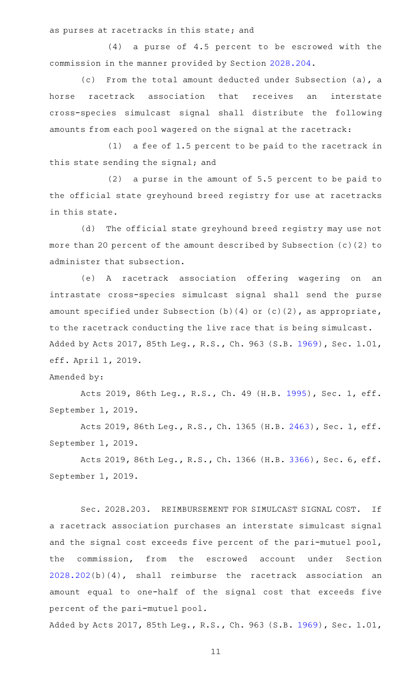as purses at racetracks in this state; and

 $(4)$  a purse of  $4.5$  percent to be escrowed with the commission in the manner provided by Section [2028.204](http://www.statutes.legis.state.tx.us/GetStatute.aspx?Code=OC&Value=2028.204).

(c) From the total amount deducted under Subsection (a), a horse racetrack association that receives an interstate cross-species simulcast signal shall distribute the following amounts from each pool wagered on the signal at the racetrack:

 $(1)$  a fee of 1.5 percent to be paid to the racetrack in this state sending the signal; and

 $(2)$  a purse in the amount of 5.5 percent to be paid to the official state greyhound breed registry for use at racetracks in this state.

(d) The official state greyhound breed registry may use not more than 20 percent of the amount described by Subsection (c)(2) to administer that subsection.

(e)AAA racetrack association offering wagering on an intrastate cross-species simulcast signal shall send the purse amount specified under Subsection (b)(4) or (c)(2), as appropriate, to the racetrack conducting the live race that is being simulcast. Added by Acts 2017, 85th Leg., R.S., Ch. 963 (S.B. [1969](http://www.legis.state.tx.us/tlodocs/85R/billtext/html/SB01969F.HTM)), Sec. 1.01, eff. April 1, 2019.

### Amended by:

Acts 2019, 86th Leg., R.S., Ch. 49 (H.B. [1995](http://www.legis.state.tx.us/tlodocs/86R/billtext/html/HB01995F.HTM)), Sec. 1, eff. September 1, 2019.

Acts 2019, 86th Leg., R.S., Ch. 1365 (H.B. [2463](http://www.legis.state.tx.us/tlodocs/86R/billtext/html/HB02463F.HTM)), Sec. 1, eff. September 1, 2019.

Acts 2019, 86th Leg., R.S., Ch. 1366 (H.B. [3366](http://www.legis.state.tx.us/tlodocs/86R/billtext/html/HB03366F.HTM)), Sec. 6, eff. September 1, 2019.

Sec. 2028.203. REIMBURSEMENT FOR SIMULCAST SIGNAL COST. If a racetrack association purchases an interstate simulcast signal and the signal cost exceeds five percent of the pari-mutuel pool, the commission, from the escrowed account under Section [2028.202](http://www.statutes.legis.state.tx.us/GetStatute.aspx?Code=OC&Value=2028.202)(b)(4), shall reimburse the racetrack association an amount equal to one-half of the signal cost that exceeds five percent of the pari-mutuel pool.

Added by Acts 2017, 85th Leg., R.S., Ch. 963 (S.B. [1969](http://www.legis.state.tx.us/tlodocs/85R/billtext/html/SB01969F.HTM)), Sec. 1.01,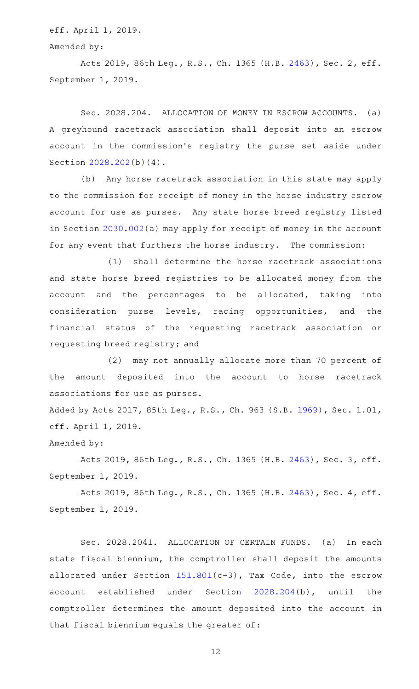eff. April 1, 2019.

Amended by:

Acts 2019, 86th Leg., R.S., Ch. 1365 (H.B. [2463](http://www.legis.state.tx.us/tlodocs/86R/billtext/html/HB02463F.HTM)), Sec. 2, eff. September 1, 2019.

Sec. 2028.204. ALLOCATION OF MONEY IN ESCROW ACCOUNTS. (a) A greyhound racetrack association shall deposit into an escrow account in the commission 's registry the purse set aside under Section [2028.202](http://www.statutes.legis.state.tx.us/GetStatute.aspx?Code=OC&Value=2028.202)(b)(4).

(b) Any horse racetrack association in this state may apply to the commission for receipt of money in the horse industry escrow account for use as purses. Any state horse breed registry listed in Section [2030.002](http://www.statutes.legis.state.tx.us/GetStatute.aspx?Code=OC&Value=2030.002)(a) may apply for receipt of money in the account for any event that furthers the horse industry. The commission:

(1) shall determine the horse racetrack associations and state horse breed registries to be allocated money from the account and the percentages to be allocated, taking into consideration purse levels, racing opportunities, and the financial status of the requesting racetrack association or requesting breed registry; and

(2) may not annually allocate more than 70 percent of the amount deposited into the account to horse racetrack associations for use as purses.

Added by Acts 2017, 85th Leg., R.S., Ch. 963 (S.B. [1969](http://www.legis.state.tx.us/tlodocs/85R/billtext/html/SB01969F.HTM)), Sec. 1.01, eff. April 1, 2019.

Amended by:

Acts 2019, 86th Leg., R.S., Ch. 1365 (H.B. [2463](http://www.legis.state.tx.us/tlodocs/86R/billtext/html/HB02463F.HTM)), Sec. 3, eff. September 1, 2019.

Acts 2019, 86th Leg., R.S., Ch. 1365 (H.B. [2463](http://www.legis.state.tx.us/tlodocs/86R/billtext/html/HB02463F.HTM)), Sec. 4, eff. September 1, 2019.

Sec. 2028.2041. ALLOCATION OF CERTAIN FUNDS. (a) In each state fiscal biennium, the comptroller shall deposit the amounts allocated under Section [151.801\(](http://www.statutes.legis.state.tx.us/GetStatute.aspx?Code=TX&Value=151.801)c-3), Tax Code, into the escrow account established under Section [2028.204](http://www.statutes.legis.state.tx.us/GetStatute.aspx?Code=OC&Value=2028.204)(b), until the comptroller determines the amount deposited into the account in that fiscal biennium equals the greater of: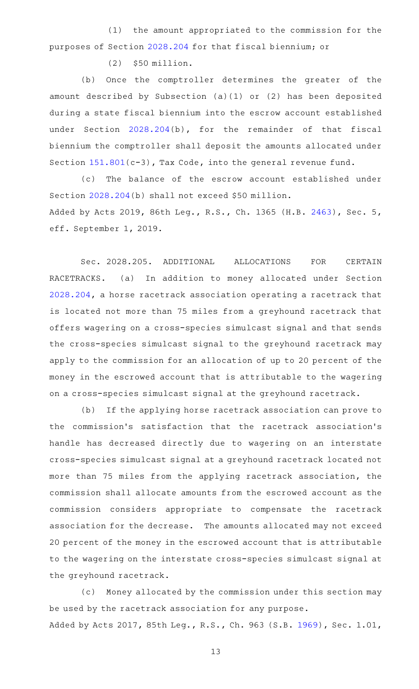(1) the amount appropriated to the commission for the purposes of Section [2028.204](http://www.statutes.legis.state.tx.us/GetStatute.aspx?Code=OC&Value=2028.204) for that fiscal biennium; or

 $(2)$  \$50 million.

(b) Once the comptroller determines the greater of the amount described by Subsection (a)(1) or (2) has been deposited during a state fiscal biennium into the escrow account established under Section [2028.204](http://www.statutes.legis.state.tx.us/GetStatute.aspx?Code=OC&Value=2028.204)(b), for the remainder of that fiscal biennium the comptroller shall deposit the amounts allocated under Section [151.801\(](http://www.statutes.legis.state.tx.us/GetStatute.aspx?Code=TX&Value=151.801)c-3), Tax Code, into the general revenue fund.

(c) The balance of the escrow account established under Section [2028.204](http://www.statutes.legis.state.tx.us/GetStatute.aspx?Code=OC&Value=2028.204)(b) shall not exceed \$50 million. Added by Acts 2019, 86th Leg., R.S., Ch. 1365 (H.B. [2463\)](http://www.legis.state.tx.us/tlodocs/86R/billtext/html/HB02463F.HTM), Sec. 5, eff. September 1, 2019.

Sec. 2028.205. ADDITIONAL ALLOCATIONS FOR CERTAIN RACETRACKS. (a) In addition to money allocated under Section [2028.204](http://www.statutes.legis.state.tx.us/GetStatute.aspx?Code=OC&Value=2028.204), a horse racetrack association operating a racetrack that is located not more than 75 miles from a greyhound racetrack that offers wagering on a cross-species simulcast signal and that sends the cross-species simulcast signal to the greyhound racetrack may apply to the commission for an allocation of up to 20 percent of the money in the escrowed account that is attributable to the wagering on a cross-species simulcast signal at the greyhound racetrack.

(b) If the applying horse racetrack association can prove to the commission's satisfaction that the racetrack association's handle has decreased directly due to wagering on an interstate cross-species simulcast signal at a greyhound racetrack located not more than 75 miles from the applying racetrack association, the commission shall allocate amounts from the escrowed account as the commission considers appropriate to compensate the racetrack association for the decrease. The amounts allocated may not exceed 20 percent of the money in the escrowed account that is attributable to the wagering on the interstate cross-species simulcast signal at the greyhound racetrack.

(c) Money allocated by the commission under this section may be used by the racetrack association for any purpose. Added by Acts 2017, 85th Leg., R.S., Ch. 963 (S.B. [1969](http://www.legis.state.tx.us/tlodocs/85R/billtext/html/SB01969F.HTM)), Sec. 1.01,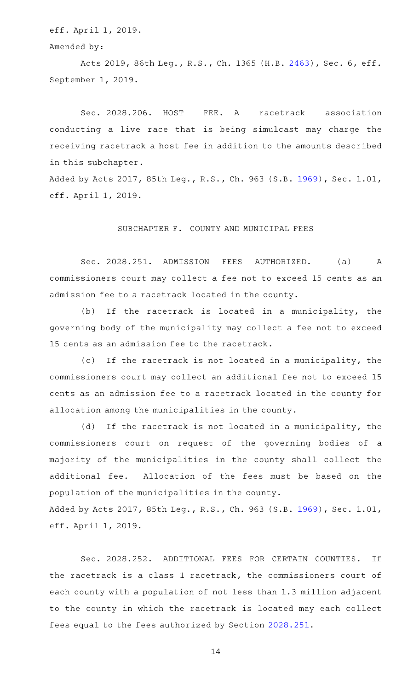eff. April 1, 2019.

Amended by:

Acts 2019, 86th Leg., R.S., Ch. 1365 (H.B. [2463](http://www.legis.state.tx.us/tlodocs/86R/billtext/html/HB02463F.HTM)), Sec. 6, eff. September 1, 2019.

Sec. 2028.206. HOST FEE. A racetrack association conducting a live race that is being simulcast may charge the receiving racetrack a host fee in addition to the amounts described in this subchapter.

Added by Acts 2017, 85th Leg., R.S., Ch. 963 (S.B. [1969](http://www.legis.state.tx.us/tlodocs/85R/billtext/html/SB01969F.HTM)), Sec. 1.01, eff. April 1, 2019.

## SUBCHAPTER F. COUNTY AND MUNICIPAL FEES

Sec. 2028.251. ADMISSION FEES AUTHORIZED. (a) A commissioners court may collect a fee not to exceed 15 cents as an admission fee to a racetrack located in the county.

(b) If the racetrack is located in a municipality, the governing body of the municipality may collect a fee not to exceed 15 cents as an admission fee to the racetrack.

(c) If the racetrack is not located in a municipality, the commissioners court may collect an additional fee not to exceed 15 cents as an admission fee to a racetrack located in the county for allocation among the municipalities in the county.

(d) If the racetrack is not located in a municipality, the commissioners court on request of the governing bodies of a majority of the municipalities in the county shall collect the additional fee. Allocation of the fees must be based on the population of the municipalities in the county.

Added by Acts 2017, 85th Leg., R.S., Ch. 963 (S.B. [1969](http://www.legis.state.tx.us/tlodocs/85R/billtext/html/SB01969F.HTM)), Sec. 1.01, eff. April 1, 2019.

Sec. 2028.252. ADDITIONAL FEES FOR CERTAIN COUNTIES. If the racetrack is a class 1 racetrack, the commissioners court of each county with a population of not less than 1.3 million adjacent to the county in which the racetrack is located may each collect fees equal to the fees authorized by Section [2028.251.](http://www.statutes.legis.state.tx.us/GetStatute.aspx?Code=OC&Value=2028.251)